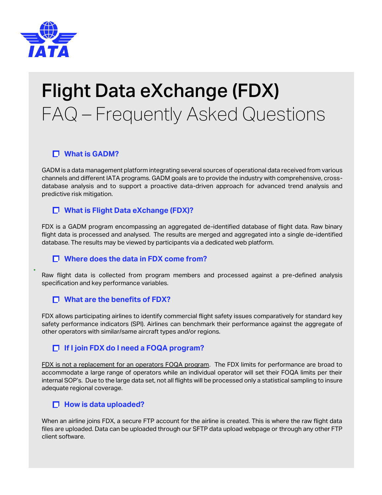

•

# Flight Data eXchange (FDX) FAQ – Frequently Asked Questions

# **What is GADM?**

GADM is a data management platform integrating several sources of operational data received from various channels and different IATA programs. GADM goals are to provide the industry with comprehensive, crossdatabase analysis and to support a proactive data-driven approach for advanced trend analysis and predictive risk mitigation.

# **What is Flight Data eXchange (FDX)?**

FDX is a GADM program encompassing an aggregated de-identified database of flight data. Raw binary flight data is processed and analysed. The results are merged and aggregated into a single de-identified database. The results may be viewed by participants via a dedicated web platform.

## **Where does the data in FDX come from?**

Raw flight data is collected from program members and processed against a pre-defined analysis specification and key performance variables.

## **What are the benefits of FDX?**

FDX allows participating airlines to identify commercial flight safety issues comparatively for standard key safety performance indicators (SPI). Airlines can benchmark their performance against the aggregate of other operators with similar/same aircraft types and/or regions.

# **If I join FDX do I need a FOQA program?**

FDX is not a replacement for an operators FOQA program. The FDX limits for performance are broad to accommodate a large range of operators while an individual operator will set their FOQA limits per their internal SOP's. Due to the large data set, not all flights will be processed only a statistical sampling to insure adequate regional coverage.

#### $\Box$  How is data uploaded?

When an airline joins FDX, a secure FTP account for the airline is created. This is where the raw flight data files are uploaded. Data can be uploaded through our SFTP data upload webpage or through any other FTP client software.